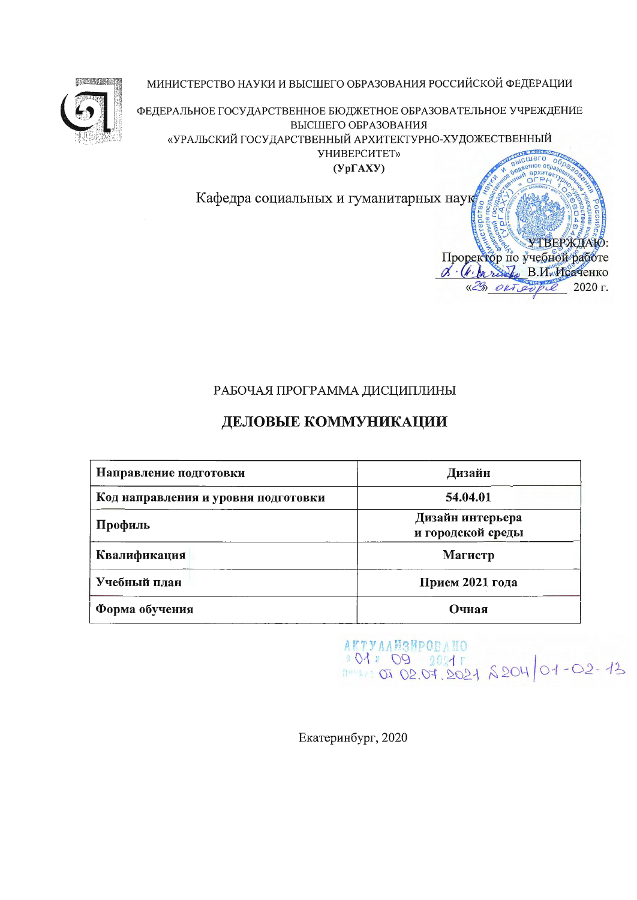

МИНИСТЕРСТВО НАУКИ И ВЫСШЕГО ОБРАЗОВАНИЯ РОССИЙСКОЙ ФЕДЕРАЦИИ

ФЕДЕРАЛЬНОЕ ГОСУДАРСТВЕННОЕ БЮДЖЕТНОЕ ОБРАЗОВАТЕЛЬНОЕ УЧРЕЖДЕНИЕ ВЫСШЕГО ОБРАЗОВАНИЯ «УРАЛЬСКИЙ ГОСУДАРСТВЕННЫЙ АРХИТЕКТУРНО-ХУДОЖЕСТВЕННЫЙ

УНИВЕРСИТЕТ»

 $(Yp\Gamma AXY)$ 

Кафедра социальных и гуманитарных наук

# РАБОЧАЯ ПРОГРАММА ДИСЦИПЛИНЫ

# ДЕЛОВЫЕ КОММУНИКАЦИИ

| Направление подготовки              | Дизайн                                |  |  |  |
|-------------------------------------|---------------------------------------|--|--|--|
| Код направления и уровня подготовки | 54.04.01                              |  |  |  |
| Профиль                             | Дизайн интерьера<br>и городской среды |  |  |  |
| Квалификация                        | Магистр                               |  |  |  |
| Учебный план                        | Прием 2021 года                       |  |  |  |
| Форма обучения                      | Очная                                 |  |  |  |

AKTYAAWSHPOBANO 801 09 2021 8204 01-02-13

цего  $06$ 

Проректор по учебной работе & (k barred B. H. McareHKO «29» ORT expit

тное обл

**УТВЕРЖДАЮ** 

2020 г.

Екатеринбург, 2020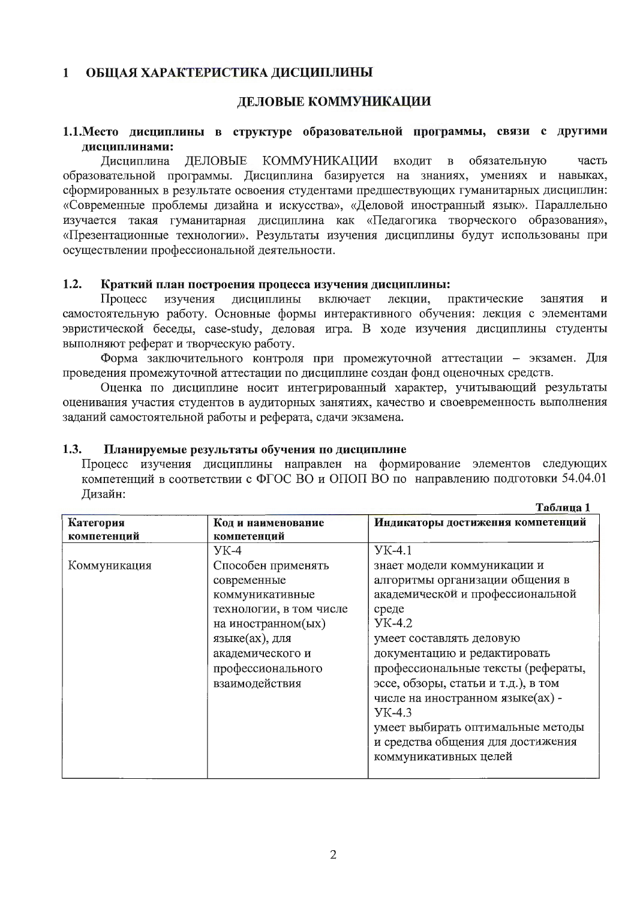#### $\mathbf{1}$ ОБЩАЯ ХАРАКТЕРИСТИКА ДИСЦИПЛИНЫ

#### ДЕЛОВЫЕ КОММУНИКАЦИИ

#### 1.1. Место дисциплины в структуре образовательной программы, связи с другими дисциплинами:

Дисциплина ДЕЛОВЫЕ КОММУНИКАЦИИ входит  $\mathbf{B}$ обязательную часть образовательной программы. Дисциплина базируется на знаниях, умениях и навыках, сформированных в результате освоения студентами предшествующих гуманитарных дисциплин: «Современные проблемы дизайна и искусства», «Деловой иностранный язык». Параллельно изучается такая гуманитарная дисциплина как «Педагогика творческого образования», «Презентационные технологии». Результаты изучения дисциплины будут использованы при осуществлении профессиональной деятельности.

#### $1.2.$ Краткий план построения процесса изучения дисциплины:

изучения дисциплины включает лекции, практические занятия Процесс  $\overline{u}$ самостоятельную работу. Основные формы интерактивного обучения: лекция с элементами эвристической беседы, case-study, деловая игра. В ходе изучения дисциплины студенты выполняют реферат и творческую работу.

Форма заключительного контроля при промежуточной аттестации - экзамен. Для проведения промежуточной аттестации по дисциплине создан фонд оценочных средств.

Оценка по дисциплине носит интегрированный характер, учитывающий результаты оценивания участия студентов в аудиторных занятиях, качество и своевременность выполнения заданий самостоятельной работы и реферата, сдачи экзамена.

#### $1.3.$ Планируемые результаты обучения по дисциплине

Процесс изучения дисциплины направлен на формирование элементов следующих компетенций в соответствии с ФГОС ВО и ОПОП ВО по направлению подготовки 54.04.01 Дизайн:

|                          |                                                                                                                                                                                    | Таблица 1                                                                                                                                                                                                                                                                                                                                                                                                                     |
|--------------------------|------------------------------------------------------------------------------------------------------------------------------------------------------------------------------------|-------------------------------------------------------------------------------------------------------------------------------------------------------------------------------------------------------------------------------------------------------------------------------------------------------------------------------------------------------------------------------------------------------------------------------|
| Категория<br>компетенций | Код и наименование<br>компетенций                                                                                                                                                  | Индикаторы достижения компетенций                                                                                                                                                                                                                                                                                                                                                                                             |
|                          | $YK-4$                                                                                                                                                                             | $YK-4.1$                                                                                                                                                                                                                                                                                                                                                                                                                      |
| Коммуникация             | Способен применять<br>современные<br>коммуникативные<br>технологии, в том числе<br>на иностранном(ых)<br>языке(ах), для<br>академического и<br>профессионального<br>взаимодействия | знает модели коммуникации и<br>алгоритмы организации общения в<br>академической и профессиональной<br>среде<br><b>YK-4.2</b><br>умеет составлять деловую<br>документацию и редактировать<br>профессиональные тексты (рефераты,<br>эссе, обзоры, статьи и т.д.), в том<br>числе на иностранном языке(ах) -<br><b>YK-4.3</b><br>умеет выбирать оптимальные методы<br>и средства общения для достижения<br>коммуникативных целей |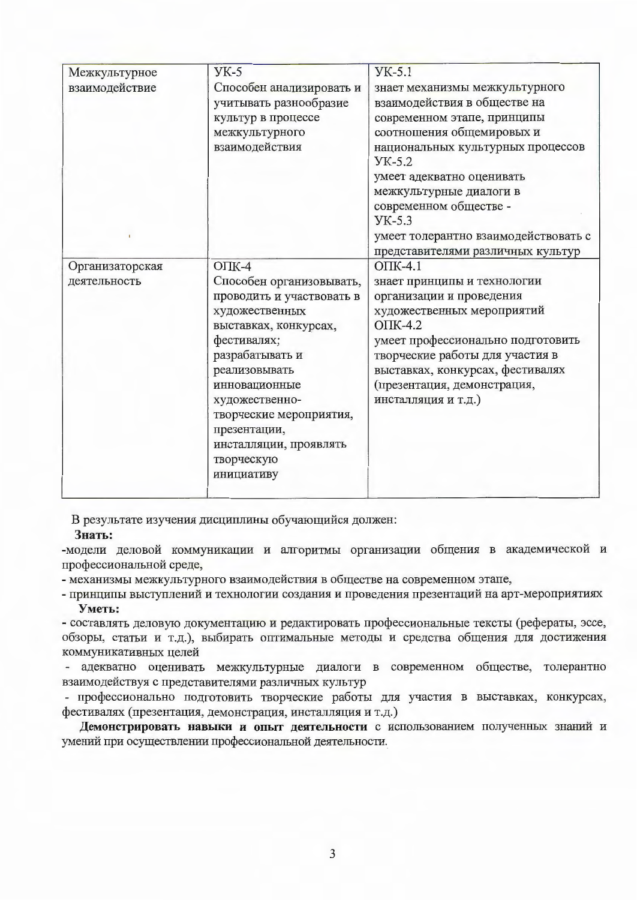| Межкультурное   | $YK-5$                                             | $YK-5.1$                                                       |
|-----------------|----------------------------------------------------|----------------------------------------------------------------|
| взаимодействие  | Способен анализировать и<br>учитывать разнообразие | знает механизмы межкультурного<br>взаимодействия в обществе на |
|                 | культур в процессе                                 | современном этапе, принципы                                    |
|                 | межкультурного                                     | соотношения общемировых и                                      |
|                 | взаимодействия                                     | национальных культурных процессов<br>$YK-5.2$                  |
|                 |                                                    | умеет адекватно оценивать                                      |
|                 |                                                    | межкультурные диалоги в                                        |
|                 |                                                    | современном обществе -<br>$YK-5.3$                             |
|                 |                                                    | умеет толерантно взаимодействовать с                           |
|                 |                                                    | представителями различных культур                              |
| Организаторская | $OIIK-4$                                           | $OIIK-4.1$                                                     |
| деятельность    | Способен организовывать,                           | знает принципы и технологии                                    |
|                 | проводить и участвовать в                          | организации и проведения                                       |
|                 | художественных                                     | художественных мероприятий                                     |
|                 | выставках, конкурсах,                              | $OIIK-4.2$                                                     |
|                 | фестивалях;                                        | умеет профессионально подготовить                              |
|                 | разрабатывать и                                    | творческие работы для участия в                                |
|                 | реализовывать                                      | выставках, конкурсах, фестивалях                               |
|                 | инновационные                                      | (презентация, демонстрация,                                    |
|                 | художественно-                                     | инсталляция и т.д.)                                            |
|                 | творческие мероприятия,                            |                                                                |
|                 | презентации,                                       |                                                                |
|                 | инсталляции, проявлять                             |                                                                |
|                 | творческую                                         |                                                                |
|                 | инициативу                                         |                                                                |
|                 |                                                    |                                                                |

В результате изучения дисциплины обучающийся должен:

#### Знать:

-модели деловой коммуникации и алгоритмы организации общения в академической и профессиональной среде,

- механизмы межкультурного взаимодействия в обществе на современном этапе,

- принципы выступлений и технологии создания и проведения презентаций на арт-мероприятиях Уметь:

- составлять деловую документацию и редактировать профессиональные тексты (рефераты, эссе, обзоры, статьи и т.д.), выбирать оптимальные методы и средства общения для достижения коммуникативных целей

- адекватно оценивать межкультурные диалоги в современном обществе, толерантно взаимодействуя с представителями различных культур

- профессионально подготовить творческие работы для участия в выставках, конкурсах, фестивалях (презентация, демонстрация, инсталляция и т.д.)

Демонстрировать навыки и опыт деятельности с использованием полученных знаний и умений при осуществлении профессиональной деятельности.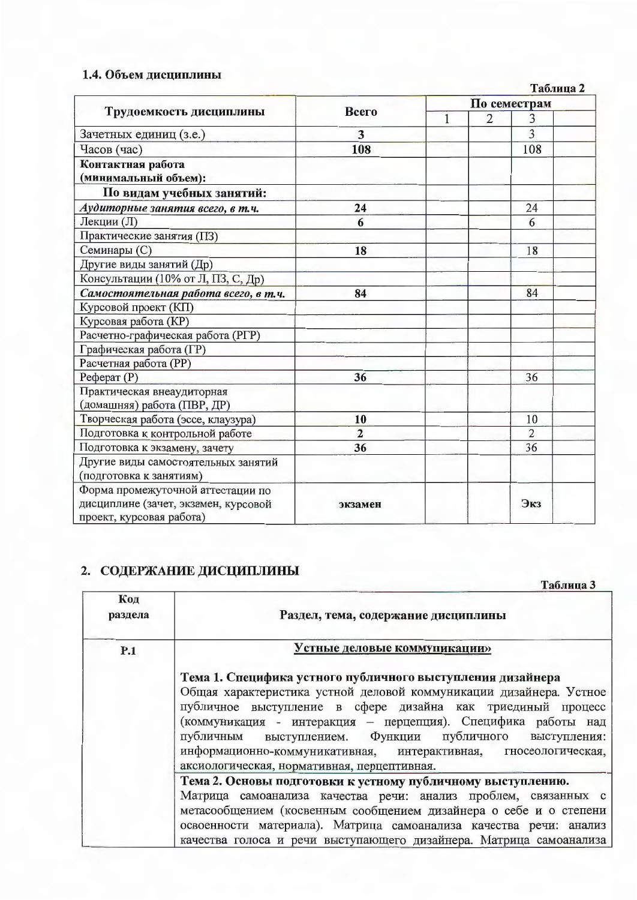# 1.4. Объем дисциплины

| Таолица 2<br>По семестрам            |                |     |                |                |  |  |  |
|--------------------------------------|----------------|-----|----------------|----------------|--|--|--|
| Трудоемкость дисциплины              | Всего          |     |                |                |  |  |  |
|                                      |                | 1   | $\overline{2}$ | 3              |  |  |  |
| Зачетных единиц (з.е.)               | 3              |     |                | 3              |  |  |  |
| Часов (час)                          | 108            |     |                | 108            |  |  |  |
| Контактная работа                    |                |     |                |                |  |  |  |
| (минимальный объем):                 |                |     |                |                |  |  |  |
| По видам учебных занятий:            |                |     |                |                |  |  |  |
| Аудиторные занятия всего, в т.ч.     | 24             |     |                | 24             |  |  |  |
| Лекции (Л)                           | 6              |     |                | 6              |  |  |  |
| Практические занятия (ПЗ)            |                |     |                |                |  |  |  |
| Семинары (С)                         | 18             |     |                | 18             |  |  |  |
| Другие виды занятий (Др)             |                |     |                |                |  |  |  |
| Консультации (10% от Л, ПЗ, С, Др)   |                |     |                |                |  |  |  |
| Самостоятельная работа всего, в т.ч. | 84             |     |                | 84             |  |  |  |
| Курсовой проект (КП)                 |                |     |                |                |  |  |  |
| Курсовая работа (КР)                 |                |     |                |                |  |  |  |
| Расчетно-графическая работа (РГР)    |                |     |                |                |  |  |  |
| Графическая работа (ГР)              |                |     |                |                |  |  |  |
| Расчетная работа (PP)                |                |     |                |                |  |  |  |
| $Pe$ ферат $(P)$                     | 36             |     |                | 36             |  |  |  |
| Практическая внеаудиторная           |                |     |                |                |  |  |  |
| (домашняя) работа (ПВР, ДР)          |                |     |                |                |  |  |  |
| Творческая работа (эссе, клаузура)   | 10             |     |                | 10             |  |  |  |
| Подготовка к контрольной работе      | $\overline{2}$ |     |                | $\overline{2}$ |  |  |  |
| Подготовка к экзамену, зачету        | 36             |     |                | 36             |  |  |  |
| Другие виды самостоятельных занятий  |                |     |                |                |  |  |  |
| (подготовка к занятиям)              |                |     |                |                |  |  |  |
| Форма промежуточной аттестации по    |                |     |                |                |  |  |  |
| дисциплине (зачет, экзамен, курсовой | экзамен        | Экз |                |                |  |  |  |
| проект, курсовая работа)             |                |     |                |                |  |  |  |

# 2. СОДЕРЖАНИЕ ДИСЦИПЛИНЫ

Таблица 3

| Код<br>раздела | Раздел, тема, содержание дисциплины                                                                                                                                                                                                                                                                                                                                                                                                           |  |  |  |  |  |  |
|----------------|-----------------------------------------------------------------------------------------------------------------------------------------------------------------------------------------------------------------------------------------------------------------------------------------------------------------------------------------------------------------------------------------------------------------------------------------------|--|--|--|--|--|--|
| P.1            | Устные деловые коммуникации»                                                                                                                                                                                                                                                                                                                                                                                                                  |  |  |  |  |  |  |
|                | Тема 1. Специфика устного публичного выступления дизайнера<br>Общая характеристика устной деловой коммуникации дизайнера. Устное<br>публичное выступление в сфере дизайна как триединый процесс<br>(коммуникация - интеракция - перцепция). Специфика работы над<br>публичным выступлением. Функции публичного выступления:<br>информационно-коммуникативная, интерактивная, гносеологическая,<br>аксиологическая, нормативная, перцептивная. |  |  |  |  |  |  |
|                | Тема 2. Основы подготовки к устному публичному выступлению.<br>Матрица самоанализа качества речи: анализ проблем, связанных с<br>метасообщением (косвенным сообщением дизайнера о себе и о степени<br>освоенности материала). Матрица самоанализа качества речи: анализ<br>качества голоса и речи выступающего дизайнера. Матрица самоанализа                                                                                                 |  |  |  |  |  |  |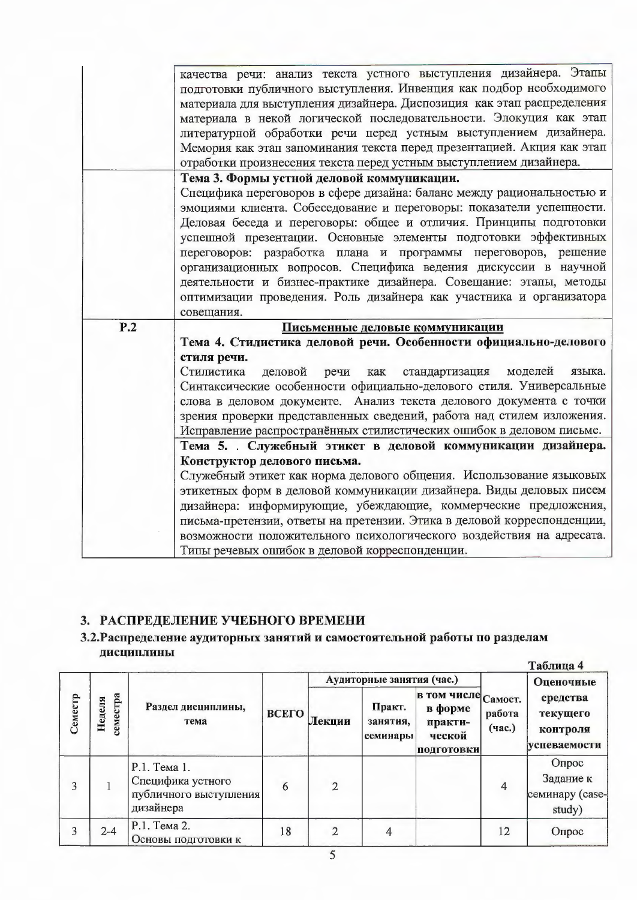|     | качества речи: анализ текста устного выступления дизайнера. Этапы                                                                            |
|-----|----------------------------------------------------------------------------------------------------------------------------------------------|
|     | подготовки публичного выступления. Инвенция как подбор необходимого                                                                          |
|     | материала для выступления дизайнера. Диспозиция как этап распределения                                                                       |
|     | материала в некой логической последовательности. Элокуция как этап                                                                           |
|     | литературной обработки речи перед устным выступлением дизайнера.                                                                             |
|     | Мемория как этап запоминания текста перед презентацией. Акция как этап                                                                       |
|     | отработки произнесения текста перед устным выступлением дизайнера.                                                                           |
|     | Тема 3. Формы устной деловой коммуникации.                                                                                                   |
|     | Специфика переговоров в сфере дизайна: баланс между рациональностью и                                                                        |
|     | эмоциями клиента. Собеседование и переговоры: показатели успешности.                                                                         |
|     | Деловая беседа и переговоры: общее и отличия. Принципы подготовки                                                                            |
|     | успешной презентации. Основные элементы подготовки эффективных                                                                               |
|     | переговоров: разработка плана и программы переговоров, решение                                                                               |
|     | организационных вопросов. Специфика ведения дискуссии в научной                                                                              |
|     | деятельности и бизнес-практике дизайнера. Совещание: этапы, методы                                                                           |
|     | оптимизации проведения. Роль дизайнера как участника и организатора                                                                          |
|     | совещания.                                                                                                                                   |
| P.2 | Письменные деловые коммуникации                                                                                                              |
|     | Тема 4. Стилистика деловой речи. Особенности официально-делового                                                                             |
|     | стиля речи.                                                                                                                                  |
|     |                                                                                                                                              |
|     | Стилистика<br>деловой<br>речи<br>моделей<br>языка.<br>как<br>стандартизация                                                                  |
|     |                                                                                                                                              |
|     | Синтаксические особенности официально-делового стиля. Универсальные                                                                          |
|     | слова в деловом документе. Анализ текста делового документа с точки<br>зрения проверки представленных сведений, работа над стилем изложения. |
|     |                                                                                                                                              |
|     | Исправление распространённых стилистических ошибок в деловом письме.                                                                         |
|     | Тема 5. Служебный этикет в деловой коммуникации дизайнера.<br>Конструктор делового письма.                                                   |
|     | Служебный этикет как норма делового общения. Использование языковых                                                                          |
|     |                                                                                                                                              |
|     | этикетных форм в деловой коммуникации дизайнера. Виды деловых писем<br>дизайнера: информирующие, убеждающие, коммерческие предложения,       |
|     | письма-претензии, ответы на претензии. Этика в деловой корреспонденции,                                                                      |
|     |                                                                                                                                              |
|     |                                                                                                                                              |
|     | возможности положительного психологического воздействия на адресата.<br>Типы речевых ошибок в деловой корреспонденции.                       |

# 3. РАСПРЕДЕЛЕНИЕ УЧЕБНОГО ВРЕМЕНИ

## 3.2. Распределение аудиторных занятий и самостоятельной работы по разделам дисциплины

|         |                    |                                                                          |                                                             |                |                                                         |                  |                                                  | Таблица 4                                       |
|---------|--------------------|--------------------------------------------------------------------------|-------------------------------------------------------------|----------------|---------------------------------------------------------|------------------|--------------------------------------------------|-------------------------------------------------|
|         |                    |                                                                          |                                                             |                | Аудиторные занятия (час.)                               |                  |                                                  | Оценочные                                       |
| Семестр | семестра<br>Неделя | Раздел дисциплины,<br>тема                                               | Практ.<br>ВСЕГО<br>Лекции<br>занятия,<br>ческой<br>семинары |                | в том числе Самост.<br>в форме<br>практи-<br>подготовки | работа<br>(час.) | средства<br>текущего<br>контроля<br>успеваемости |                                                 |
| 3       |                    | Р.1. Тема 1.<br>Специфика устного<br>публичного выступления<br>дизайнера | 6                                                           | $\overline{2}$ |                                                         |                  | 4                                                | Опрос<br>Задание к<br>семинару (case-<br>study) |
| 3       | $2 - 4$            | Р.1. Тема 2.<br>Основы подготовки к                                      | 18                                                          | $\overline{2}$ | 4                                                       |                  | 12                                               | Опрос                                           |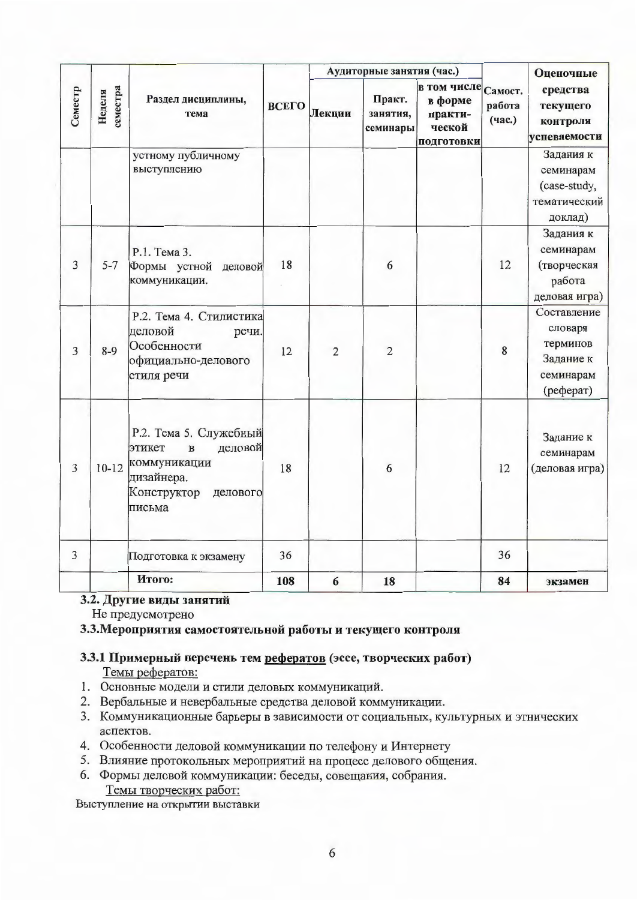|         |                    |                                                                                                                                |       |                | Аудиторные занятия (час.)      |                                                           | Оценочные                   |                                                                           |  |
|---------|--------------------|--------------------------------------------------------------------------------------------------------------------------------|-------|----------------|--------------------------------|-----------------------------------------------------------|-----------------------------|---------------------------------------------------------------------------|--|
| Семестр | семестра<br>Неделя | Раздел дисциплины,<br>тема                                                                                                     | ВСЕГО | Лекции         | Практ.<br>занятия,<br>семинары | в том числе<br>в форме<br>практи-<br>ческой<br>подготовки | Самост.<br>работа<br>(час.) | средства<br>текущего<br>контроля<br>успеваемости                          |  |
|         |                    | устному публичному<br>выступлению                                                                                              |       |                |                                |                                                           |                             | Задания к<br>семинарам<br>(case-study,<br>тематический<br>доклад)         |  |
| 3       | $5 - 7$            | Р.1. Тема 3.<br>Формы устной<br>деловой<br>коммуникации.                                                                       | 18    |                | 6                              |                                                           | 12                          | Задания к<br>семинарам<br>(творческая<br>работа<br>деловая игра)          |  |
| 3       | $8 - 9$            | Р.2. Тема 4. Стилистика<br>деловой<br>речи.<br>Особенности<br>официально-делового<br>стиля речи                                | 12    | $\overline{2}$ | $\overline{2}$                 |                                                           | 8                           | Составление<br>словаря<br>терминов<br>Задание к<br>семинарам<br>(pedepar) |  |
| 3       | $10-12$            | Р.2. Тема 5. Служебный<br>деловой<br>этикет<br>$\, {\bf B}$<br>коммуникации<br>дизайнера.<br>Конструктор<br>делового<br>письма | 18    |                | 6                              |                                                           | 12                          | Задание к<br>семинарам<br>(деловая игра)                                  |  |
| 3       |                    | Подготовка к экзамену                                                                                                          | 36    |                |                                |                                                           | 36                          |                                                                           |  |
|         |                    | Итого:                                                                                                                         | 108   | 6              | 18                             |                                                           | 84                          | экзамен                                                                   |  |

#### 3.2. Другие виды занятий

Не предусмотрено

3.3. Мероприятия самостоятельной работы и текущего контроля

#### 3.3.1 Примерный перечень тем рефератов (эссе, творческих работ) Темы рефератов:

- 1. Основные модели и стили деловых коммуникаций.
- 2. Вербальные и невербальные средства деловой коммуникации.
- 3. Коммуникационные барьеры в зависимости от социальных, культурных и этнических аспектов.
- 4. Особенности деловой коммуникации по телефону и Интернету
- 5. Влияние протокольных мероприятий на процесс делового общения.
- 6. Формы деловой коммуникации: беседы, совещания, собрания. Темы творческих работ:

Выступление на открытии выставки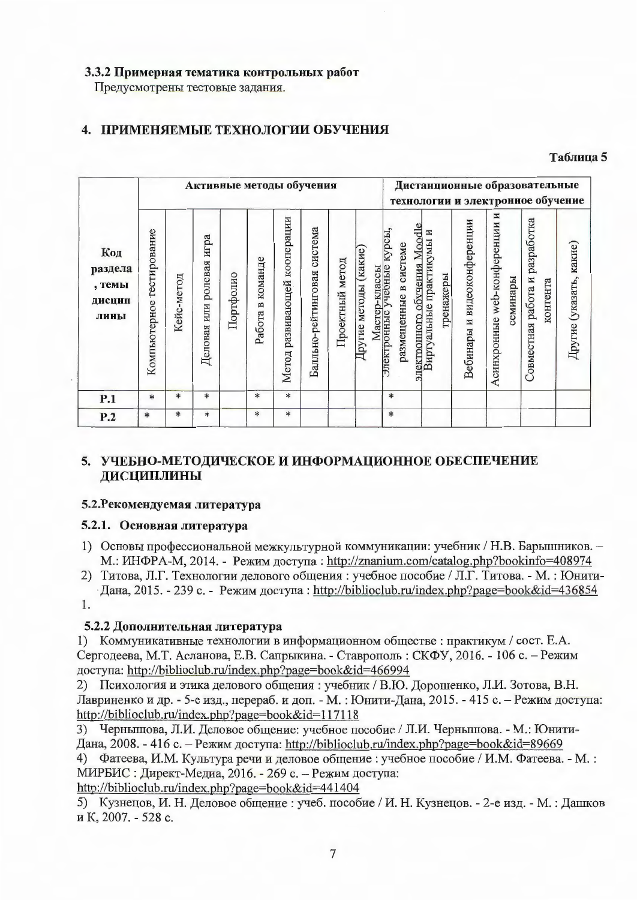#### 3.3.2 Примерная тематика контрольных работ

Предусмотрены тестовые задания.

# 4. ПРИМЕНЯЕМЫЕ ТЕХНОЛОГИИ ОБУЧЕНИЯ

#### Таблица 5

|                                            |                              |            | Активные методы обучения       |           |                     |                                 |                                |                 |                      |                                       |                                      |                                                          |           | Дистанционные образовательные<br>технологии и электронное обучение |                                     |          |                                |          |                         |
|--------------------------------------------|------------------------------|------------|--------------------------------|-----------|---------------------|---------------------------------|--------------------------------|-----------------|----------------------|---------------------------------------|--------------------------------------|----------------------------------------------------------|-----------|--------------------------------------------------------------------|-------------------------------------|----------|--------------------------------|----------|-------------------------|
| Код<br>раздела<br>, темы<br>дисцип<br>лины | тестирование<br>Компьютерное | Кейс-метод | игра<br>ролевая<br>Деловая или | Портфолио | в команде<br>Работа | развивающей кооперации<br>Метод | система<br>Балльно-рейтинговая | Проектный метод | Другие методы (какие | Мастер-классы<br>онные учебные курсы, | размещенные в системе<br>Электронные | электронного обучения Moodle<br>Виртуальные практикумы и | тренажеры | Вебинары и видеоконференции                                        | И<br>web-конференции<br>Асинхронные | семинары | Совместная работа и разработка | контента | Другие (указать, какие) |
| P.1                                        | $\ast$                       | $\ast$     | $\ast$                         |           | $\ast$              | $\ast$                          |                                |                 |                      |                                       | $\ast$                               |                                                          |           |                                                                    |                                     |          |                                |          |                         |
| P.2                                        | $\ast$                       | $\ast$     | $\ast$                         |           | $*$                 | $\ast$                          |                                |                 |                      |                                       | *                                    |                                                          |           |                                                                    |                                     |          |                                |          |                         |

## 5. УЧЕБНО-МЕТОДИЧЕСКОЕ И ИНФОРМАЦИОННОЕ ОБЕСПЕЧЕНИЕ ДИСЦИПЛИНЫ

#### 5.2. Рекомендуемая литература

#### 5.2.1. Основная литература

- 1) Основы профессиональной межкультурной коммуникации: учебник / Н.В. Барышников. -М.: ИНФРА-М, 2014. - Режим доступа: http://znanium.com/catalog.php?bookinfo=408974
- 2) Титова, Л.Г. Технологии делового общения: учебное пособие / Л.Г. Титова. М.: Юнити-Дана, 2015. - 239 с. - Режим доступа: http://biblioclub.ru/index.php?page=book&id=436854 1.

#### 5.2.2 Дополнительная литература

1) Коммуникативные технологии в информационном обществе: практикум / сост. Е.А. Сергодеева, М.Т. Асланова, Е.В. Сапрыкина. - Ставрополь: СКФУ, 2016. - 106 с. - Режим доступа: http://biblioclub.ru/index.php?page=book&id=466994

2) Психология и этика делового общения: учебник / В.Ю. Дорошенко, Л.И. Зотова, В.Н. Лавриненко и др. - 5-е изд., перераб. и доп. - М. : Юнити-Дана, 2015. - 415 с. - Режим доступа: http://biblioclub.ru/index.php?page=book&id=117118

3) Чернышова, Л.И. Деловое общение: учебное пособие / Л.И. Чернышова. - М.: Юнити-Дана, 2008. - 416 с. - Режим доступа: http://biblioclub.ru/index.php?page=book&id=89669 4) Фатеева, И.М. Культура речи и деловое общение : учебное пособие / И.М. Фатеева. - М. :

МИРБИС: Директ-Медиа, 2016. - 269 с. - Режим доступа:

http://biblioclub.ru/index.php?page=book&id=441404

5) Кузнецов, И. Н. Деловое общение : учеб. пособие / И. Н. Кузнецов. - 2-е изд. - М. : Дашков и К, 2007. - 528 с.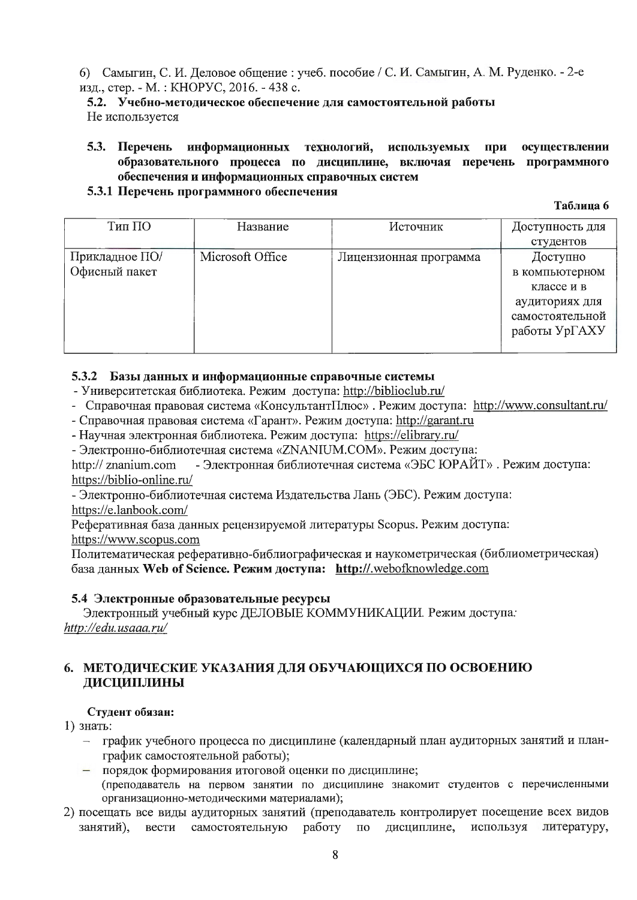6) Самыгин, С. И. Деловое общение : учеб. пособие / С. И. Самыгин, А. М. Руденко. - 2-е изд., стер. - М.: КНОРУС, 2016. - 438 с.

5.2. Учебно-методическое обеспечение для самостоятельной работы Не используется

5.3. Перечень информационных технологий, осуществлении используемых при образовательного процесса по дисциплине, включая перечень программного обеспечения и информационных справочных систем

#### 5.3.1 Перечень программного обеспечения

Таблина 6

| Тип ПО         | Название         | Источник               | Доступность для |
|----------------|------------------|------------------------|-----------------|
|                |                  |                        | студентов       |
|                |                  |                        |                 |
| Прикладное ПО/ | Microsoft Office | Лицензионная программа | Доступно        |
| Офисный пакет  |                  |                        | в компьютерном  |
|                |                  |                        | классе и в      |
|                |                  |                        | аудиториях для  |
|                |                  |                        | самостоятельной |
|                |                  |                        | работы УрГАХУ   |
|                |                  |                        |                 |

#### 5.3.2 Базы данных и информационные справочные системы

- Университетская библиотека. Режим доступа: http://biblioclub.ru/
- Справочная правовая система «КонсультантПлюс». Режим доступа: http://www.consultant.ru/
- Справочная правовая система «Гарант». Режим доступа: http://garant.ru
- Научная электронная библиотека. Режим доступа: https://elibrary.ru/

- Электронно-библиотечная система «ZNANIUM.COM». Режим доступа:

- Электронная библиотечная система «ЭБС ЮРАЙТ». Режим доступа: http:// znanium.com https://biblio-online.ru/

- Электронно-библиотечная система Издательства Лань (ЭБС). Режим доступа: https://e.lanbook.com/

Реферативная база данных рецензируемой литературы Scopus. Режим доступа: https://www.scopus.com

Политематическая реферативно-библиографическая и наукометрическая (библиометрическая) база данных Web of Science. Режим доступа: http://.webofknowledge.com

#### 5.4 Электронные образовательные ресурсы

Электронный учебный курс ДЕЛОВЫЕ КОММУНИКАЦИИ. Режим доступа: http://edu.usaaa.ru/

### 6. МЕТОДИЧЕСКИЕ УКАЗАНИЯ ДЛЯ ОБУЧАЮЩИХСЯ ПО ОСВОЕНИЮ ДИСЦИПЛИНЫ

#### Студент обязан:

1) знать:

- график учебного процесса по дисциплине (календарный план аудиторных занятий и планграфик самостоятельной работы);
- порядок формирования итоговой оценки по дисциплине; (преподаватель на первом занятии по дисциплине знакомит студентов с перечисленными
- организационно-методическими материалами); 2) посещать все виды аудиторных занятий (преподаватель контролирует посещение всех видов занятий), вести самостоятельную работу  $\Pi$ <sup>O</sup> дисциплине, используя литературу,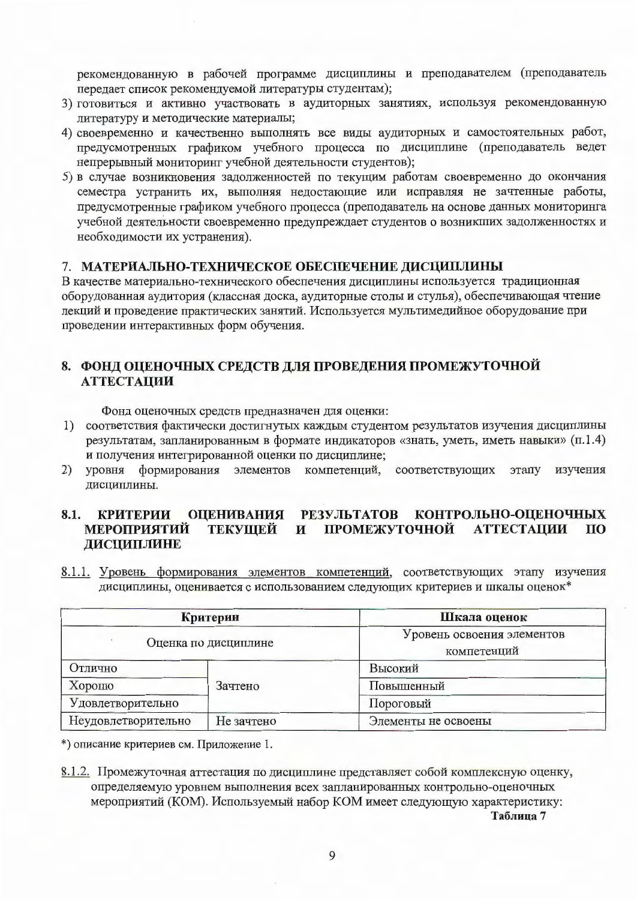рекомендованную в рабочей программе дисциплины и преподавателем (преподаватель передает список рекомендуемой литературы студентам);

- 3) готовиться и активно участвовать в аудиторных занятиях, используя рекомендованную литературу и методические материалы;
- 4) своевременно и качественно выполнять все виды аудиторных и самостоятельных работ, предусмотренных графиком учебного процесса по дисциплине (преподаватель ведет непрерывный мониторинг учебной деятельности студентов);
- 5) в случае возникновения задолженностей по текущим работам своевременно до окончания семестра устранить их, выполняя недостающие или исправляя не зачтенные работы, предусмотренные графиком учебного процесса (преподаватель на основе данных мониторинга учебной деятельности своевременно предупреждает студентов о возникших задолженностях и необходимости их устранения).

#### 7. МАТЕРИАЛЬНО-ТЕХНИЧЕСКОЕ ОБЕСПЕЧЕНИЕ ДИСЦИПЛИНЫ

В качестве материально-технического обеспечения дисциплины используется традиционная оборудованная аудитория (классная доска, аудиторные столы и стулья), обеспечивающая чтение лекций и проведение практических занятий. Используется мультимедийное оборудование при проведении интерактивных форм обучения.

#### 8. ФОНД ОЦЕНОЧНЫХ СРЕДСТВ ДЛЯ ПРОВЕДЕНИЯ ПРОМЕЖУТОЧНОЙ **АТТЕСТАЦИИ**

Фонд оценочных средств предназначен для оценки:

- 1) соответствия фактически достигнутых каждым студентом результатов изучения дисциплины результатам, запланированным в формате индикаторов «знать, уметь, иметь навыки» (п.1.4) и получения интегрированной оценки по дисциплине;
- $(2)$ уровня формирования элементов компетенций, соответствующих этапу изучения дисциплины.

#### 8.1. КРИТЕРИИ ОЦЕНИВАНИЯ РЕЗУЛЬТАТОВ КОНТРОЛЬНО-ОЦЕНОЧНЫХ **МЕРОПРИЯТИЙ** ТЕКУЩЕЙ  $\mathbf{M}$ ПРОМЕЖУТОЧНОЙ **АТТЕСТАЦИИ TIO** ДИСЦИПЛИНЕ

8.1.1. Уровень формирования элементов компетенций, соответствующих этапу изучения дисциплины, оценивается с использованием следующих критериев и шкалы оценок\*

|                     | Критерии             | Шкала оценок                              |  |  |  |  |
|---------------------|----------------------|-------------------------------------------|--|--|--|--|
|                     | Оценка по дисциплине | Уровень освоения элементов<br>компетенций |  |  |  |  |
| Отлично             |                      | Высокий                                   |  |  |  |  |
| Хорошо              | Зачтено              | Повышенный                                |  |  |  |  |
| Удовлетворительно   |                      | Пороговый                                 |  |  |  |  |
| Неудовлетворительно | Не зачтено           | Элементы не освоены                       |  |  |  |  |

\*) описание критериев см. Приложение 1.

8.1.2. Промежуточная аттестация по дисциплине представляет собой комплексную оценку, определяемую уровнем выполнения всех запланированных контрольно-оценочных мероприятий (КОМ). Используемый набор КОМ имеет следующую характеристику: Таблица 7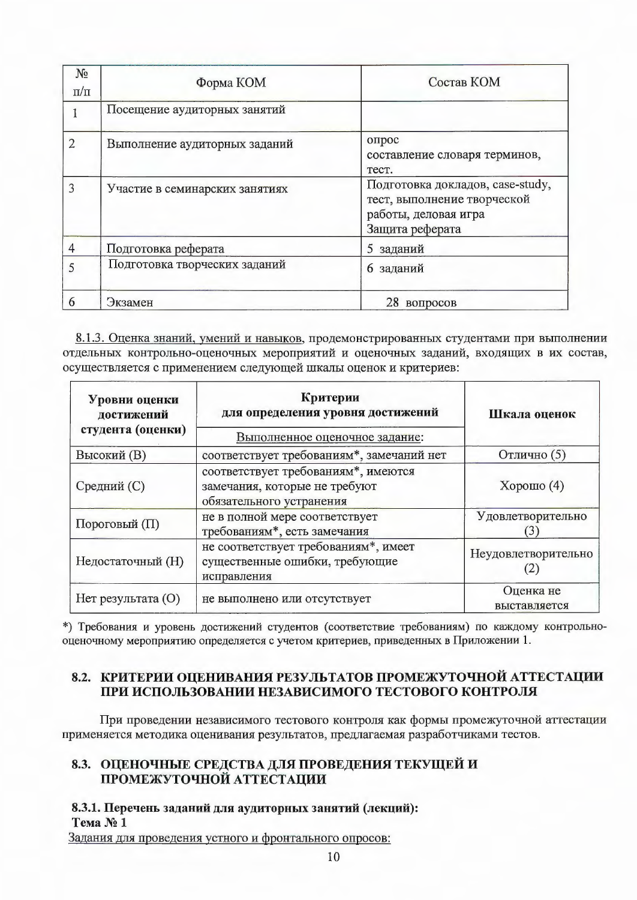| N <sub>2</sub><br>$\pi/\pi$ | Форма КОМ                      | Состав КОМ                                                                                                 |
|-----------------------------|--------------------------------|------------------------------------------------------------------------------------------------------------|
|                             | Посещение аудиторных занятий   |                                                                                                            |
| $\overline{2}$              | Выполнение аудиторных заданий  | опрос<br>составление словаря терминов,<br>Tect.                                                            |
| 3                           | Участие в семинарских занятиях | Подготовка докладов, case-study,<br>тест, выполнение творческой<br>работы, деловая игра<br>Защита реферата |
| 4                           | Подготовка реферата            | 5 заданий                                                                                                  |
| 5                           | Подготовка творческих заданий  | 6 заданий                                                                                                  |
| 6                           | Экзамен                        | 28<br>вопросов                                                                                             |

8.1.3. Оценка знаний, умений и навыков, продемонстрированных студентами при выполнении отдельных контрольно-оценочных мероприятий и оценочных заданий, входящих в их состав, осуществляется с применением следующей шкалы оценок и критериев:

| Уровни оценки<br>достижений<br>студента (оценки) | Критерии<br>для определения уровня достижений                                                    | Шкала оценок              |  |
|--------------------------------------------------|--------------------------------------------------------------------------------------------------|---------------------------|--|
|                                                  | Выполненное оценочное задание:                                                                   |                           |  |
| <b>Высокий</b> (B)                               | соответствует требованиям*, замечаний нет                                                        | Отлично (5)               |  |
| Средний (С)                                      | соответствует требованиям*, имеются<br>замечания, которые не требуют<br>обязательного устранения | Хорошо $(4)$              |  |
| Пороговый (П)                                    | не в полной мере соответствует<br>требованиям*, есть замечания                                   | Удовлетворительно         |  |
| Недостаточный (H)                                | не соответствует требованиям*, имеет<br>существенные ошибки, требующие<br>исправления            | Неудовлетворительно       |  |
| Нет результата (О)                               | не выполнено или отсутствует                                                                     | Оценка не<br>выставляется |  |

\*) Требования и уровень достижений студентов (соответствие требованиям) по каждому контрольнооценочному мероприятию определяется с учетом критериев, приведенных в Приложении 1.

#### 8.2. КРИТЕРИИ ОЦЕНИВАНИЯ РЕЗУЛЬТАТОВ ПРОМЕЖУТОЧНОЙ АТТЕСТАЦИИ ПРИ ИСПОЛЬЗОВАНИИ НЕЗАВИСИМОГО ТЕСТОВОГО КОНТРОЛЯ

При проведении независимого тестового контроля как формы промежуточной аттестации применяется методика оценивания результатов, предлагаемая разработчиками тестов.

### 8.3. ОЦЕНОЧНЫЕ СРЕДСТВА ДЛЯ ПРОВЕДЕНИЯ ТЕКУЩЕЙ И ПРОМЕЖУТОЧНОЙ АТТЕСТАЦИИ

8.3.1. Перечень заданий для аудиторных занятий (лекций): Tema No 1

Задания для проведения устного и фронтального опросов: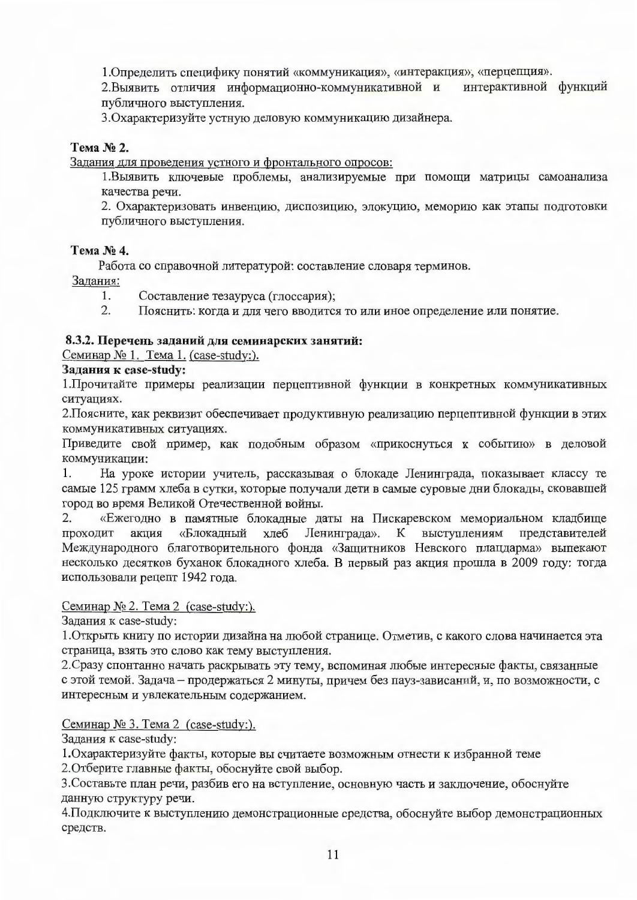1. Определить специфику понятий «коммуникация», «интеракция», «перцепция».

2. Выявить отличия информационно-коммуникативной и интерактивной функций публичного выступления.

3. Охарактеризуйте устную деловую коммуникацию дизайнера.

#### Тема № 2.

Задания для проведения устного и фронтального опросов:

1. Выявить ключевые проблемы, анализируемые при помощи матрицы самоанализа качества речи.

2. Охарактеризовать инвенцию, диспозицию, элокуцию, меморию как этапы подготовки публичного выступления.

#### Тема № 4.

Работа со справочной литературой: составление словаря терминов.

Задания:

- $1.$ Составление тезауруса (глоссария);
- $\overline{2}$ . Пояснить: когда и для чего вводится то или иное определение или понятие.

#### 8.3.2. Перечень заданий для семинарских занятий:

Семинар № 1. Тема 1. (case-study:).

#### Задания к case-study:

1. Прочитайте примеры реализации перцептивной функции в конкретных коммуникативных ситуациях.

2. Поясните, как реквизит обеспечивает продуктивную реализацию перцептивной функции в этих коммуникативных ситуациях.

Приведите свой пример, как подобным образом «прикоснуться к событию» в деловой коммуникации:

На уроке истории учитель, рассказывая о блокаде Ленинграда, показывает классу те 1. самые 125 грамм хлеба в сутки, которые получали дети в самые суровые дни блокады, сковавшей город во время Великой Отечественной войны.

 $2.$ «Ежегодно в памятные блокадные даты на Пискаревском мемориальном кладбище Ленинграда». К выступлениям представителей проходит акция «Блокадный хлеб Международного благотворительного фонда «Защитников Невского плацдарма» выпекают несколько десятков буханок блокадного хлеба. В первый раз акция прошла в 2009 году: тогда использовали рецепт 1942 года.

#### Семинар № 2. Тема 2 (case-study:).

Задания к case-study:

1. Открыть книгу по истории дизайна на любой странице. Отметив, с какого слова начинается эта страница, взять это слово как тему выступления.

2. Сразу спонтанно начать раскрывать эту тему, вспоминая любые интересные факты, связанные с этой темой. Задача - продержаться 2 минуты, причем без пауз-зависаний, и, по возможности, с интересным и увлекательным содержанием.

#### Семинар № 3. Тема 2 (case-study:).

Задания к case-study:

1. Охарактеризуйте факты, которые вы считаете возможным отнести к избранной теме

2. Отберите главные факты, обоснуйте свой выбор.

3. Составьте план речи, разбив его на вступление, основную часть и заключение, обоснуйте данную структуру речи.

4. Подключите к выступлению демонстрационные средства, обоснуйте выбор демонстрационных средств.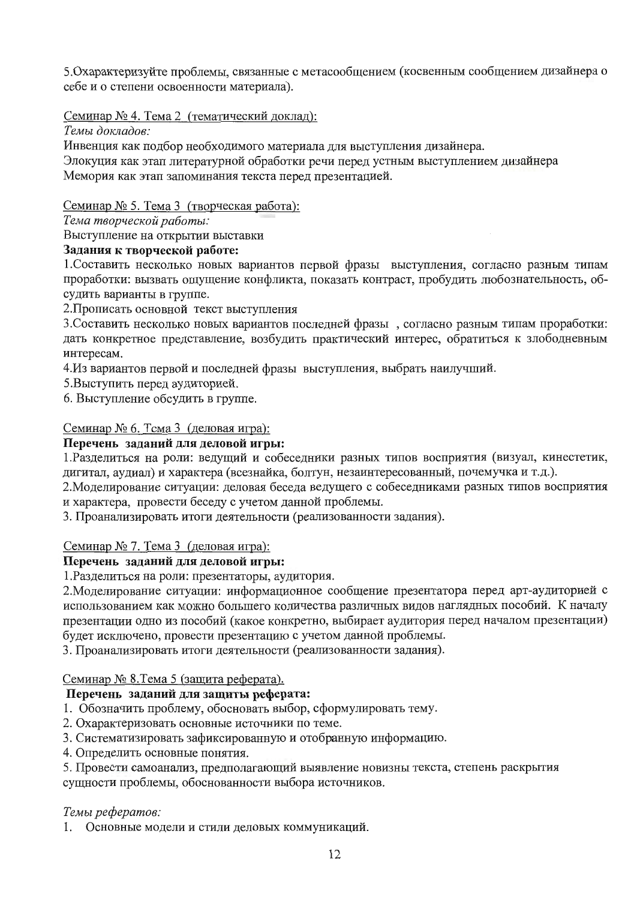5. Охарактеризуйте проблемы, связанные с метасообщением (косвенным сообщением дизайнера о себе и о степени освоенности материала).

Семинар № 4. Тема 2 (тематический доклад):

Темы докладов:

Инвенция как подбор необходимого материала для выступления дизайнера.

Элокуция как этап литературной обработки речи перед устным выступлением дизайнера Мемория как этап запоминания текста перед презентацией.

### Семинар № 5. Тема 3 (творческая работа):

Тема творческой работы:

Выступление на открытии выставки

### Задания к творческой работе:

1. Составить несколько новых вариантов первой фразы выступления, согласно разным типам проработки: вызвать ощущение конфликта, показать контраст, пробудить любознательность, обсудить варианты в группе.

2. Прописать основной текст выступления

3. Составить несколько новых вариантов последней фразы, согласно разным типам проработки: дать конкретное представление, возбудить практический интерес, обратиться к злободневным интересам.

4. Из вариантов первой и последней фразы выступления, выбрать наилучший.

5. Выступить перед аудиторией.

6. Выступление обсудить в группе.

## Семинар № 6. Тема 3 (деловая игра):

### Перечень заданий для деловой игры:

1. Разделиться на роли: ведущий и собеседники разных типов восприятия (визуал, кинестетик, дигитал, аудиал) и характера (всезнайка, болтун, незаинтересованный, почемучка и т.д.).

2. Моделирование ситуации: деловая беседа ведущего с собеседниками разных типов восприятия и характера, провести беседу с учетом данной проблемы.

3. Проанализировать итоги деятельности (реализованности задания).

## Семинар № 7. Тема 3 (деловая игра):

## Перечень заданий для деловой игры:

1. Разделиться на роли: презентаторы, аудитория.

2. Моделирование ситуации: информационное сообщение презентатора перед арт-аудиторией с использованием как можно большего количества различных видов наглядных пособий. К началу презентации одно из пособий (какое конкретно, выбирает аудитория перед началом презентации) будет исключено, провести презентацию с учетом данной проблемы.

3. Проанализировать итоги деятельности (реализованности задания).

## Семинар № 8. Тема 5 (защита реферата).

## Перечень заданий для защиты реферата:

- 1. Обозначить проблему, обосновать выбор, сформулировать тему.
- 2. Охарактеризовать основные источники по теме.
- 3. Систематизировать зафиксированную и отобранную информацию.
- 4. Определить основные понятия.
- 5. Провести самоанализ, предполагающий выявление новизны текста, степень раскрытия
- сущности проблемы, обоснованности выбора источников.

## Темы рефератов:

1. Основные модели и стили деловых коммуникаций.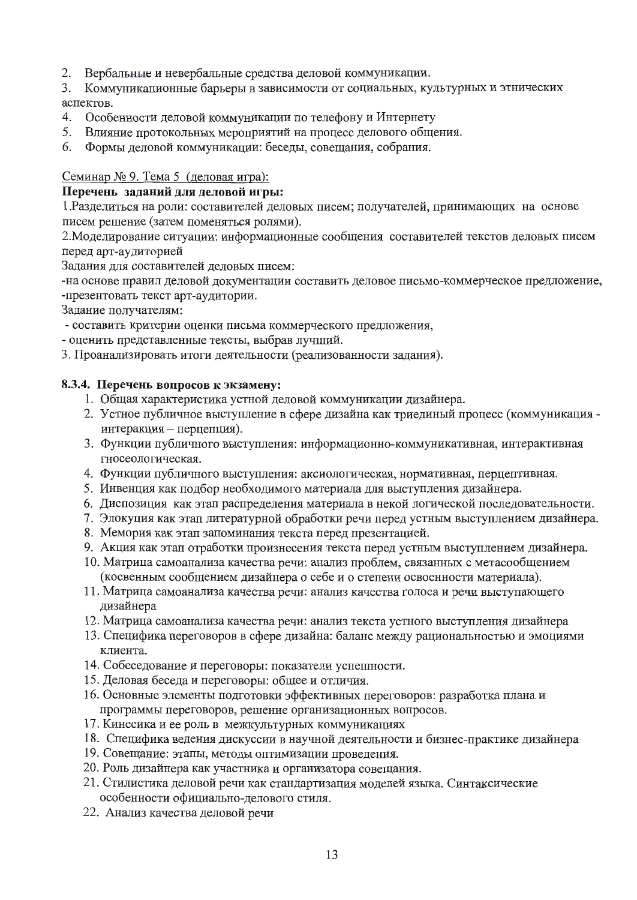2. Вербальные и невербальные средства деловой коммуникации.

3. Коммуникационные барьеры в зависимости от социальных, культурных и этнических аспектов.

- 4. Особенности деловой коммуникации по телефону и Интернету
- 5. Влияние протокольных мероприятий на процесс делового общения.
- Формы деловой коммуникации: беседы, совещания, собрания. 6.

#### Семинар № 9. Тема 5 (деловая игра):

#### Перечень заданий для деловой игры:

1. Разделиться на роли: составителей деловых писем; получателей, принимающих на основе писем решение (затем поменяться ролями).

2. Моделирование ситуации: информационные сообщения составителей текстов деловых писем перед арт-аудиторией

Задания для составителей деловых писем:

-на основе правил деловой документации составить деловое письмо-коммерческое предложение, -презентовать текст арт-аудитории.

Задание получателям:

- составить критерии оценки письма коммерческого предложения,
- оценить представленные тексты, выбрав лучший.
- 3. Проанализировать итоги деятельности (реализованности задания).

#### 8.3.4. Перечень вопросов к экзамену:

- 1. Общая характеристика устной деловой коммуникации дизайнера.
- 2. Устное публичное выступление в сфере дизайна как триединый процесс (коммуникация интеракция - перцепция).
- 3. Функции публичного выступления: информационно-коммуникативная, интерактивная гносеологическая.
- 4. Функции публичного выступления: аксиологическая, нормативная, перцептивная.
- 5. Инвенция как подбор необходимого материала для выступления дизайнера.
- 6. Диспозиция как этап распределения материала в некой логической последовательности.
- 7. Элокуция как этап литературной обработки речи перед устным выступлением дизайнера.
- 8. Мемория как этап запоминания текста перед презентацией.
- 9. Акция как этап отработки произнесения текста перед устным выступлением дизайнера.
- 10. Матрица самоанализа качества речи: анализ проблем, связанных с метасообщением (косвенным сообщением дизайнера о себе и о степени освоенности материала).
- 11. Матрица самоанализа качества речи: анализ качества голоса и речи выступанощего дизайнера
- 12. Матрица самоанализа качества речи: анализ текста устного выступления дизайнера
- 13. Специфика переговоров в сфере дизайна: баланс между рациональностью и эмоциями клиента.
- 14. Собеседование и переговоры: показатели успешности.
- 15. Деловая беседа и переговоры: общее и отличия.
- 16. Основные элементы подготовки эффективных переговоров: разработка плана и программы переговоров, решение организационных вопросов.
- 17. Кинесика и ее роль в межкультурных коммуникациях
- 18. Специфика ведения дискуссии в научной деятельности и бизнес-практике дизайнера
- 19. Совещание: этапы, методы оптимизации проведения.
- 20. Роль дизайнера как участника и организатора совещания.
- 21. Стилистика деловой речи как стандартизация моделей языка. Синтаксические особенности официально-делового стиля.
- 22. Анализ качества деловой речи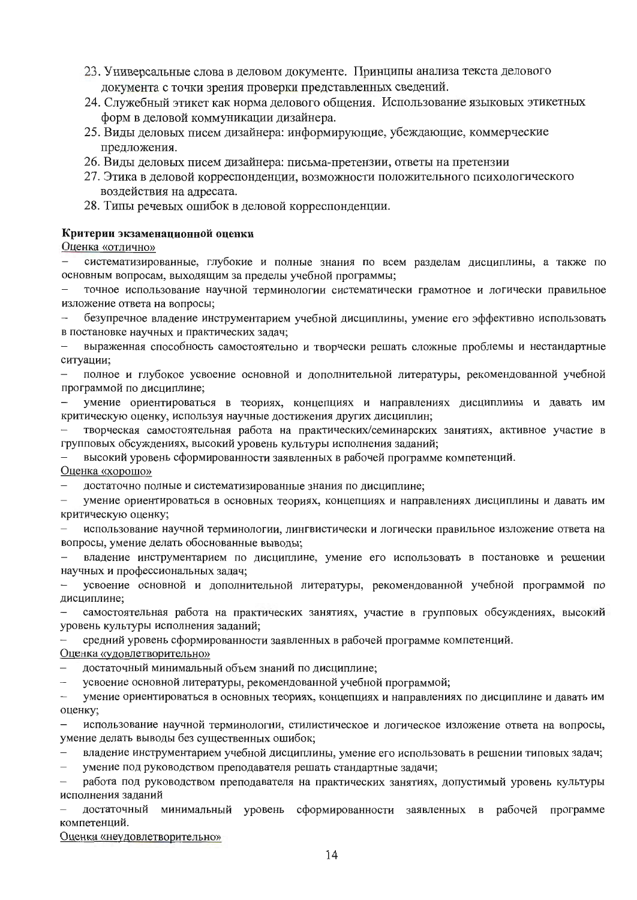- 23. Универсальные слова в деловом документе. Принципы анализа текста делового документа с точки зрения проверки представленных сведений.
- 24. Служебный этикет как норма делового общения. Использование языковых этикетных форм в деловой коммуникации дизайнера.
- 25. Виды деловых писем дизайнера: информирующие, убеждающие, коммерческие предложения.
- 26. Виды деловых писем дизайнера: письма-претензии, ответы на претензии
- 27. Этика в деловой корреспонденции, возможности положительного психологического воздействия на адресата.
- 28. Типы речевых ошибок в деловой корреспонденции.

#### Критерии экзаменационной оценки

#### Оценка «отлично»

систематизированные, глубокие и полные знания по всем разделам дисциплины, а также по основным вопросам, выходящим за пределы учебной программы;

точное использование научной терминологии систематически грамотное и логически правильное изложение ответа на вопросы;

безупречное владение инструментарием учебной дисциплины, умение его эффективно использовать в постановке научных и практических задач;

выраженная способность самостоятельно и творчески решать сложные проблемы и нестандартные ситуации;

полное и глубокое усвоение основной и дополнительной литературы, рекомендованной учебной программой по дисциплине;

умение ориентироваться в теориях, концепциях и направлениях дисциплины и давать им критическую оценку, используя научные достижения других дисциплин;

творческая самостоятельная работа на практических/семинарских занятиях, активное участие в групповых обсуждениях, высокий уровень культуры исполнения заданий;

высокий уровень сформированности заявленных в рабочей программе компетенций.

Оценка «хорошо»

достаточно полные и систематизированные знания по дисциплине;

умение ориентироваться в основных теориях, концепциях и направлениях дисциплины и давать им критическую оценку;

использование научной терминологии, лингвистически и логически правильное изложение ответа на вопросы, умение делать обоснованные выводы;

владение инструментарием по дисциплине, умение его использовать в постановке и решении научных и профессиональных задач;

усвоение основной и дополнительной литературы, рекомендованной учебной программой по дисциплине:

самостоятельная работа на практических занятиях, участие в групповых обсуждениях, высокий уровень культуры исполнения заданий;

средний уровень сформированности заявленных в рабочей программе компетенций.

#### Оценка «удовлетворительно»

достаточный минимальный объем знаний по дисциплине;

усвоение основной литературы, рекомендованной учебной программой;

умение ориентироваться в основных теориях, концепциях и направлениях по дисциплине и давать им оценку;

 $\overline{\phantom{0}}$ использование научной терминологии, стилистическое и логическое изложение ответа на вопросы, умение делать выводы без существенных ошибок;

владение инструментарием учебной дисциплины, умение его использовать в решении типовых задач;

умение под руководством преподавателя решать стандартные задачи;

работа под руководством преподавателя на практических занятиях, допустимый уровень культуры исполнения заданий

достаточный минимальный уровень сформированности заявленных в рабочей программе компетенций.

Оценка «неудовлетворительно»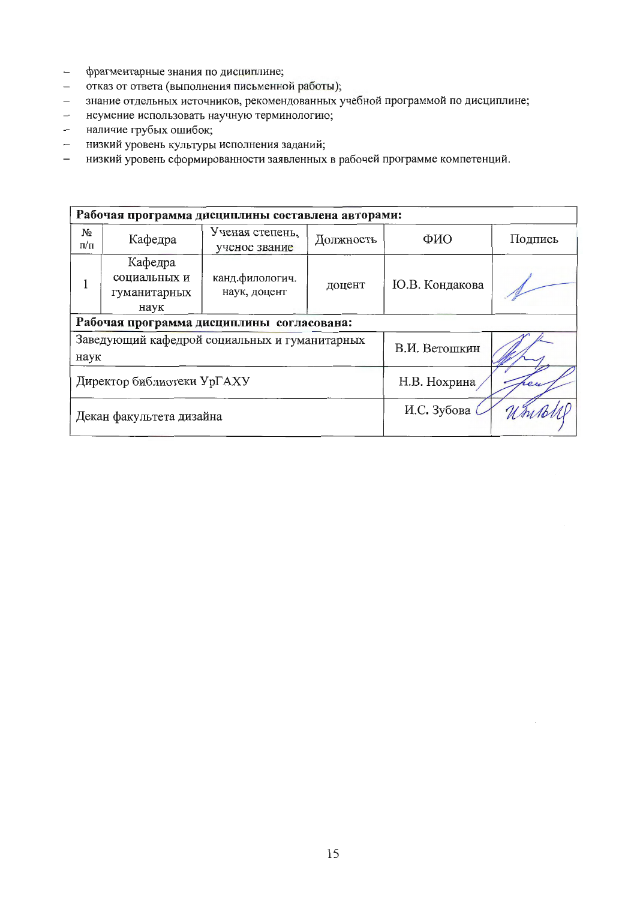- фрагментарные знания по дисциплине;  $\leftarrow$
- отказ от ответа (выполнения письменной работы);  $\equiv$
- знание отдельных источников, рекомендованных учебной программой по дисциплине;  $\equiv$  .
- неумение использовать научную терминологию;  $\equiv$
- наличие грубых ошибок;  $\overline{\phantom{0}}$
- низкий уровень культуры исполнения заданий;  $\frac{1}{2}$
- низкий уровень сформированности заявленных в рабочей программе компетенций.  $\overline{\phantom{0}}$

| Рабочая программа дисциплины составлена авторами:     |                                                 |                                  |               |                |         |  |  |  |
|-------------------------------------------------------|-------------------------------------------------|----------------------------------|---------------|----------------|---------|--|--|--|
| N <sub>2</sub><br>п/п                                 | Кафедра                                         | Ученая степень,<br>ученое звание | Должность     | ФИО            | Подпись |  |  |  |
|                                                       | Кафедра<br>социальных и<br>гуманитарных<br>наук | канд.филологич.<br>наук, доцент  | доцент        | Ю.В. Кондакова |         |  |  |  |
| Рабочая программа дисциплины согласована:             |                                                 |                                  |               |                |         |  |  |  |
| Заведующий кафедрой социальных и гуманитарных<br>наук |                                                 |                                  | В.И. Ветошкин |                |         |  |  |  |
| Директор библиотеки УрГАХУ                            |                                                 |                                  | Н.В. Нохрина  |                |         |  |  |  |
| Декан факультета дизайна                              |                                                 |                                  | И.С. Зубова   |                |         |  |  |  |